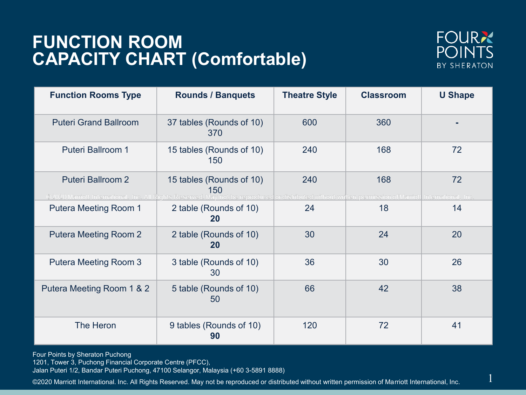## **FUNCTION ROOM CAPACITY CHART (Comfortable)**



1

| <b>Function Rooms Type</b>   | <b>Rounds / Banquets</b>                                                                                                                                                                   | <b>Theatre Style</b> | <b>Classroom</b> | <b>U Shape</b> |
|------------------------------|--------------------------------------------------------------------------------------------------------------------------------------------------------------------------------------------|----------------------|------------------|----------------|
| <b>Puteri Grand Ballroom</b> | 37 tables (Rounds of 10)<br>370                                                                                                                                                            | 600                  | 360              |                |
| <b>Puteri Ballroom 1</b>     | 15 tables (Rounds of 10)<br>150                                                                                                                                                            | 240                  | 168              | 72             |
| <b>Puteri Ballroom 2</b>     | 15 tables (Rounds of 10)<br>150<br>©2020 Marriott International. Inc. All Rights Reserved. May not be reproduced or distributed without written permission of Marriott International, Inc. | 240                  | 168              | 72             |
| <b>Putera Meeting Room 1</b> | 2 table (Rounds of 10)<br>20                                                                                                                                                               | 24                   | 18               | 14             |
| <b>Putera Meeting Room 2</b> | 2 table (Rounds of 10)<br>20                                                                                                                                                               | 30                   | 24               | 20             |
| <b>Putera Meeting Room 3</b> | 3 table (Rounds of 10)<br>30                                                                                                                                                               | 36                   | 30               | 26             |
| Putera Meeting Room 1 & 2    | 5 table (Rounds of 10)<br>50                                                                                                                                                               | 66                   | 42               | 38             |
| The Heron                    | 9 tables (Rounds of 10)<br>90                                                                                                                                                              | 120                  | 72               | 41             |

Four Points by Sheraton Puchong

1201, Tower 3, Puchong Financial Corporate Centre (PFCC),

Jalan Puteri 1/2, Bandar Puteri Puchong, 47100 Selangor, Malaysia (+60 3-5891 8888)

©2020 Marriott International. Inc. All Rights Reserved. May not be reproduced or distributed without written permission of Marriott International, Inc.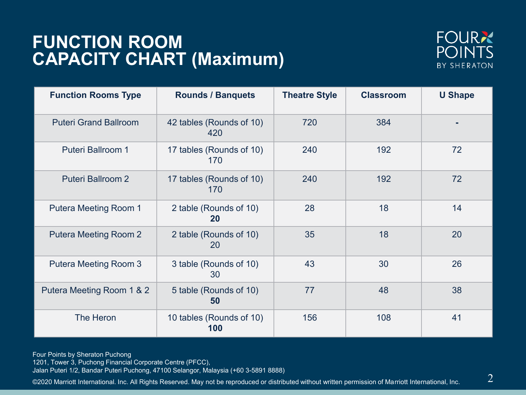## **FUNCTION ROOM CAPACITY CHART (Maximum)**



| <b>Function Rooms Type</b>   | <b>Rounds / Banquets</b>        | <b>Theatre Style</b> | <b>Classroom</b> | <b>U Shape</b> |
|------------------------------|---------------------------------|----------------------|------------------|----------------|
| <b>Puteri Grand Ballroom</b> | 42 tables (Rounds of 10)<br>420 | 720                  | 384              |                |
| <b>Puteri Ballroom 1</b>     | 17 tables (Rounds of 10)<br>170 | 240                  | 192              | 72             |
| <b>Puteri Ballroom 2</b>     | 17 tables (Rounds of 10)<br>170 | 240                  | 192              | 72             |
| <b>Putera Meeting Room 1</b> | 2 table (Rounds of 10)<br>20    | 28                   | 18               | 14             |
| <b>Putera Meeting Room 2</b> | 2 table (Rounds of 10)<br>20    | 35                   | 18               | 20             |
| <b>Putera Meeting Room 3</b> | 3 table (Rounds of 10)<br>30    | 43                   | 30               | 26             |
| Putera Meeting Room 1 & 2    | 5 table (Rounds of 10)<br>50    | 77                   | 48               | 38             |
| The Heron                    | 10 tables (Rounds of 10)<br>100 | 156                  | 108              | 41             |

Four Points by Sheraton Puchong

1201, Tower 3, Puchong Financial Corporate Centre (PFCC),

Jalan Puteri 1/2, Bandar Puteri Puchong, 47100 Selangor, Malaysia (+60 3-5891 8888)

©2020 Marriott International. Inc. All Rights Reserved. May not be reproduced or distributed without written permission of Marriott International, Inc.